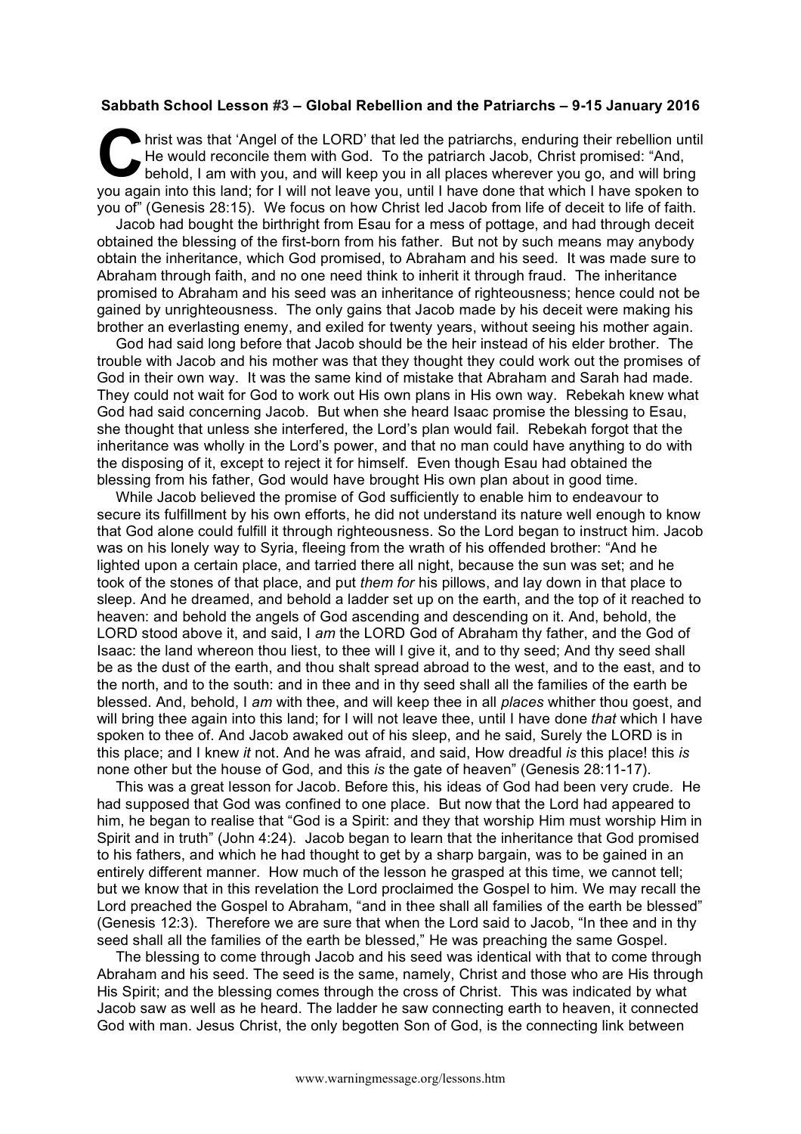## **Sabbath School Lesson #3 – Global Rebellion and the Patriarchs – 9-15 January 2016**

hrist was that 'Angel of the LORD' that led the patriarchs, enduring their rebellion until He would reconcile them with God. To the patriarch Jacob, Christ promised: "And, behold, I am with you, and will keep you in all places wherever you go, and will bring you again into this land; for I will not leave you, until I have done that which I have spoken to you of" (Genesis 28:15). We focus on how Christ led Jacob from life of deceit to life of faith. C hris<br>
Le bel

Jacob had bought the birthright from Esau for a mess of pottage, and had through deceit obtained the blessing of the first-born from his father. But not by such means may anybody obtain the inheritance, which God promised, to Abraham and his seed. It was made sure to Abraham through faith, and no one need think to inherit it through fraud. The inheritance promised to Abraham and his seed was an inheritance of righteousness; hence could not be gained by unrighteousness. The only gains that Jacob made by his deceit were making his brother an everlasting enemy, and exiled for twenty years, without seeing his mother again.

God had said long before that Jacob should be the heir instead of his elder brother. The trouble with Jacob and his mother was that they thought they could work out the promises of God in their own way. It was the same kind of mistake that Abraham and Sarah had made. They could not wait for God to work out His own plans in His own way. Rebekah knew what God had said concerning Jacob. But when she heard Isaac promise the blessing to Esau, she thought that unless she interfered, the Lord's plan would fail. Rebekah forgot that the inheritance was wholly in the Lord's power, and that no man could have anything to do with the disposing of it, except to reject it for himself. Even though Esau had obtained the blessing from his father, God would have brought His own plan about in good time.

While Jacob believed the promise of God sufficiently to enable him to endeavour to secure its fulfillment by his own efforts, he did not understand its nature well enough to know that God alone could fulfill it through righteousness. So the Lord began to instruct him. Jacob was on his lonely way to Syria, fleeing from the wrath of his offended brother: "And he lighted upon a certain place, and tarried there all night, because the sun was set; and he took of the stones of that place, and put *them for* his pillows, and lay down in that place to sleep. And he dreamed, and behold a ladder set up on the earth, and the top of it reached to heaven: and behold the angels of God ascending and descending on it. And, behold, the LORD stood above it, and said, I *am* the LORD God of Abraham thy father, and the God of Isaac: the land whereon thou liest, to thee will I give it, and to thy seed; And thy seed shall be as the dust of the earth, and thou shalt spread abroad to the west, and to the east, and to the north, and to the south: and in thee and in thy seed shall all the families of the earth be blessed. And, behold, I *am* with thee, and will keep thee in all *places* whither thou goest, and will bring thee again into this land; for I will not leave thee, until I have done *that* which I have spoken to thee of. And Jacob awaked out of his sleep, and he said, Surely the LORD is in this place; and I knew *it* not. And he was afraid, and said, How dreadful *is* this place! this *is* none other but the house of God, and this *is* the gate of heaven" (Genesis 28:11-17).

This was a great lesson for Jacob. Before this, his ideas of God had been very crude. He had supposed that God was confined to one place. But now that the Lord had appeared to him, he began to realise that "God is a Spirit: and they that worship Him must worship Him in Spirit and in truth" (John 4:24). Jacob began to learn that the inheritance that God promised to his fathers, and which he had thought to get by a sharp bargain, was to be gained in an entirely different manner. How much of the lesson he grasped at this time, we cannot tell; but we know that in this revelation the Lord proclaimed the Gospel to him. We may recall the Lord preached the Gospel to Abraham, "and in thee shall all families of the earth be blessed" (Genesis 12:3). Therefore we are sure that when the Lord said to Jacob, "In thee and in thy seed shall all the families of the earth be blessed," He was preaching the same Gospel.

The blessing to come through Jacob and his seed was identical with that to come through Abraham and his seed. The seed is the same, namely, Christ and those who are His through His Spirit; and the blessing comes through the cross of Christ. This was indicated by what Jacob saw as well as he heard. The ladder he saw connecting earth to heaven, it connected God with man. Jesus Christ, the only begotten Son of God, is the connecting link between